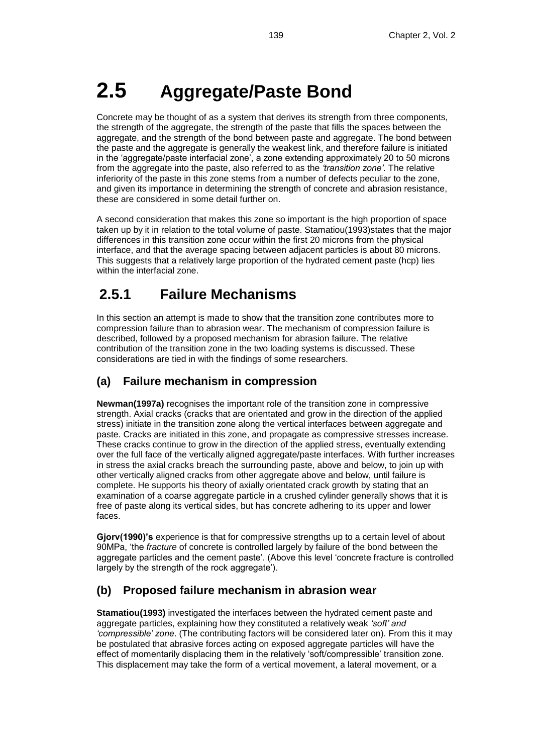# **2.5 Aggregate/Paste Bond**

Concrete may be thought of as a system that derives its strength from three components, the strength of the aggregate, the strength of the paste that fills the spaces between the aggregate, and the strength of the bond between paste and aggregate. The bond between the paste and the aggregate is generally the weakest link, and therefore failure is initiated in the 'aggregate/paste interfacial zone', a zone extending approximately 20 to 50 microns from the aggregate into the paste, also referred to as the *'transition zone'*. The relative inferiority of the paste in this zone stems from a number of defects peculiar to the zone, and given its importance in determining the strength of concrete and abrasion resistance, these are considered in some detail further on.

A second consideration that makes this zone so important is the high proportion of space taken up by it in relation to the total volume of paste. Stamatiou(1993)states that the major differences in this transition zone occur within the first 20 microns from the physical interface, and that the average spacing between adjacent particles is about 80 microns. This suggests that a relatively large proportion of the hydrated cement paste (hcp) lies within the interfacial zone.

# **2.5.1 Failure Mechanisms**

In this section an attempt is made to show that the transition zone contributes more to compression failure than to abrasion wear. The mechanism of compression failure is described, followed by a proposed mechanism for abrasion failure. The relative contribution of the transition zone in the two loading systems is discussed. These considerations are tied in with the findings of some researchers.

## **(a) Failure mechanism in compression**

**Newman(1997a)** recognises the important role of the transition zone in compressive strength. Axial cracks (cracks that are orientated and grow in the direction of the applied stress) initiate in the transition zone along the vertical interfaces between aggregate and paste. Cracks are initiated in this zone, and propagate as compressive stresses increase. These cracks continue to grow in the direction of the applied stress, eventually extending over the full face of the vertically aligned aggregate/paste interfaces. With further increases in stress the axial cracks breach the surrounding paste, above and below, to join up with other vertically aligned cracks from other aggregate above and below, until failure is complete. He supports his theory of axially orientated crack growth by stating that an examination of a coarse aggregate particle in a crushed cylinder generally shows that it is free of paste along its vertical sides, but has concrete adhering to its upper and lower faces.

**Gjorv(1990)'s** experience is that for compressive strengths up to a certain level of about 90MPa, 'the *fracture* of concrete is controlled largely by failure of the bond between the aggregate particles and the cement paste'. (Above this level 'concrete fracture is controlled largely by the strength of the rock aggregate').

## **(b) Proposed failure mechanism in abrasion wear**

**Stamatiou(1993)** investigated the interfaces between the hydrated cement paste and aggregate particles, explaining how they constituted a relatively weak *'soft' and 'compressible' zone*. (The contributing factors will be considered later on). From this it may be postulated that abrasive forces acting on exposed aggregate particles will have the effect of momentarily displacing them in the relatively 'soft/compressible' transition zone. This displacement may take the form of a vertical movement, a lateral movement, or a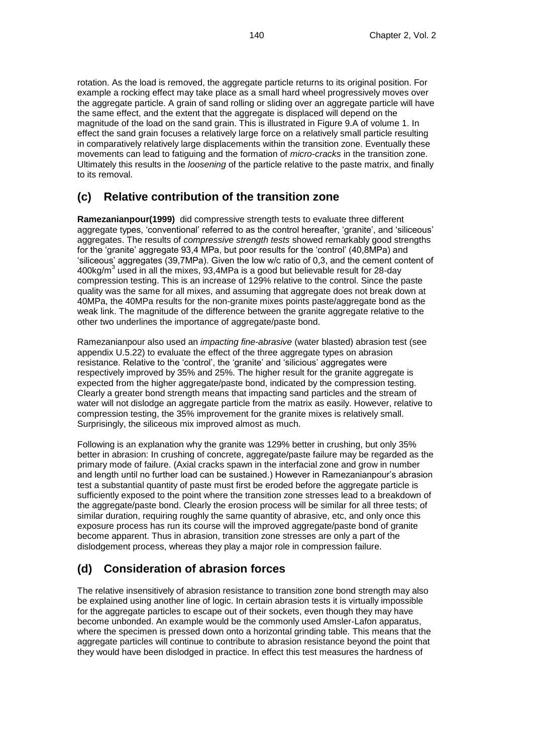rotation. As the load is removed, the aggregate particle returns to its original position. For example a rocking effect may take place as a small hard wheel progressively moves over the aggregate particle. A grain of sand rolling or sliding over an aggregate particle will have the same effect, and the extent that the aggregate is displaced will depend on the magnitude of the load on the sand grain. This is illustrated in Figure 9.A of volume 1. In effect the sand grain focuses a relatively large force on a relatively small particle resulting in comparatively relatively large displacements within the transition zone. Eventually these movements can lead to fatiguing and the formation of *micro-cracks* in the transition zone. Ultimately this results in the *loosening* of the particle relative to the paste matrix, and finally to its removal.

#### **(c) Relative contribution of the transition zone**

**Ramezanianpour(1999)** did compressive strength tests to evaluate three different aggregate types, 'conventional' referred to as the control hereafter, 'granite', and 'siliceous' aggregates. The results of *compressive strength tests* showed remarkably good strengths for the 'granite' aggregate 93,4 MPa, but poor results for the 'control' (40,8MPa) and 'siliceous' aggregates (39,7MPa). Given the low w/c ratio of 0,3, and the cement content of 400kg/m<sup>3</sup> used in all the mixes, 93,4MPa is a good but believable result for 28-day compression testing. This is an increase of 129% relative to the control. Since the paste quality was the same for all mixes, and assuming that aggregate does not break down at 40MPa, the 40MPa results for the non-granite mixes points paste/aggregate bond as the weak link. The magnitude of the difference between the granite aggregate relative to the other two underlines the importance of aggregate/paste bond.

Ramezanianpour also used an *impacting fine-abrasive* (water blasted) abrasion test (see appendix U.5.22) to evaluate the effect of the three aggregate types on abrasion resistance. Relative to the 'control', the 'granite' and 'silicious' aggregates were respectively improved by 35% and 25%. The higher result for the granite aggregate is expected from the higher aggregate/paste bond, indicated by the compression testing. Clearly a greater bond strength means that impacting sand particles and the stream of water will not dislodge an aggregate particle from the matrix as easily. However, relative to compression testing, the 35% improvement for the granite mixes is relatively small. Surprisingly, the siliceous mix improved almost as much.

Following is an explanation why the granite was 129% better in crushing, but only 35% better in abrasion: In crushing of concrete, aggregate/paste failure may be regarded as the primary mode of failure. (Axial cracks spawn in the interfacial zone and grow in number and length until no further load can be sustained.) However in Ramezanianpour's abrasion test a substantial quantity of paste must first be eroded before the aggregate particle is sufficiently exposed to the point where the transition zone stresses lead to a breakdown of the aggregate/paste bond. Clearly the erosion process will be similar for all three tests; of similar duration, requiring roughly the same quantity of abrasive, etc, and only once this exposure process has run its course will the improved aggregate/paste bond of granite become apparent. Thus in abrasion, transition zone stresses are only a part of the dislodgement process, whereas they play a major role in compression failure.

#### **(d) Consideration of abrasion forces**

The relative insensitively of abrasion resistance to transition zone bond strength may also be explained using another line of logic. In certain abrasion tests it is virtually impossible for the aggregate particles to escape out of their sockets, even though they may have become unbonded. An example would be the commonly used Amsler-Lafon apparatus, where the specimen is pressed down onto a horizontal grinding table. This means that the aggregate particles will continue to contribute to abrasion resistance beyond the point that they would have been dislodged in practice. In effect this test measures the hardness of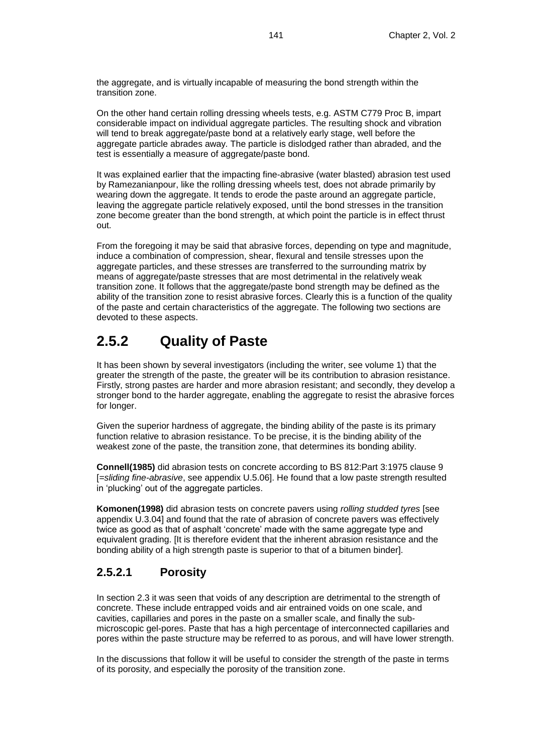the aggregate, and is virtually incapable of measuring the bond strength within the transition zone.

On the other hand certain rolling dressing wheels tests, e.g. ASTM C779 Proc B, impart considerable impact on individual aggregate particles. The resulting shock and vibration will tend to break aggregate/paste bond at a relatively early stage, well before the aggregate particle abrades away. The particle is dislodged rather than abraded, and the test is essentially a measure of aggregate/paste bond.

It was explained earlier that the impacting fine-abrasive (water blasted) abrasion test used by Ramezanianpour, like the rolling dressing wheels test, does not abrade primarily by wearing down the aggregate. It tends to erode the paste around an aggregate particle, leaving the aggregate particle relatively exposed, until the bond stresses in the transition zone become greater than the bond strength, at which point the particle is in effect thrust out.

From the foregoing it may be said that abrasive forces, depending on type and magnitude, induce a combination of compression, shear, flexural and tensile stresses upon the aggregate particles, and these stresses are transferred to the surrounding matrix by means of aggregate/paste stresses that are most detrimental in the relatively weak transition zone. It follows that the aggregate/paste bond strength may be defined as the ability of the transition zone to resist abrasive forces. Clearly this is a function of the quality of the paste and certain characteristics of the aggregate. The following two sections are devoted to these aspects.

# **2.5.2 Quality of Paste**

It has been shown by several investigators (including the writer, see volume 1) that the greater the strength of the paste, the greater will be its contribution to abrasion resistance. Firstly, strong pastes are harder and more abrasion resistant; and secondly, they develop a stronger bond to the harder aggregate, enabling the aggregate to resist the abrasive forces for longer.

Given the superior hardness of aggregate, the binding ability of the paste is its primary function relative to abrasion resistance. To be precise, it is the binding ability of the weakest zone of the paste, the transition zone, that determines its bonding ability.

**Connell(1985)** did abrasion tests on concrete according to BS 812:Part 3:1975 clause 9 [*=sliding fine-abrasive*, see appendix U.5.06]. He found that a low paste strength resulted in 'plucking' out of the aggregate particles.

**Komonen(1998)** did abrasion tests on concrete pavers using *rolling studded tyres* [see appendix U.3.04] and found that the rate of abrasion of concrete pavers was effectively twice as good as that of asphalt 'concrete' made with the same aggregate type and equivalent grading. [It is therefore evident that the inherent abrasion resistance and the bonding ability of a high strength paste is superior to that of a bitumen binder].

### **2.5.2.1 Porosity**

In section 2.3 it was seen that voids of any description are detrimental to the strength of concrete. These include entrapped voids and air entrained voids on one scale, and cavities, capillaries and pores in the paste on a smaller scale, and finally the submicroscopic gel-pores. Paste that has a high percentage of interconnected capillaries and pores within the paste structure may be referred to as porous, and will have lower strength.

In the discussions that follow it will be useful to consider the strength of the paste in terms of its porosity, and especially the porosity of the transition zone.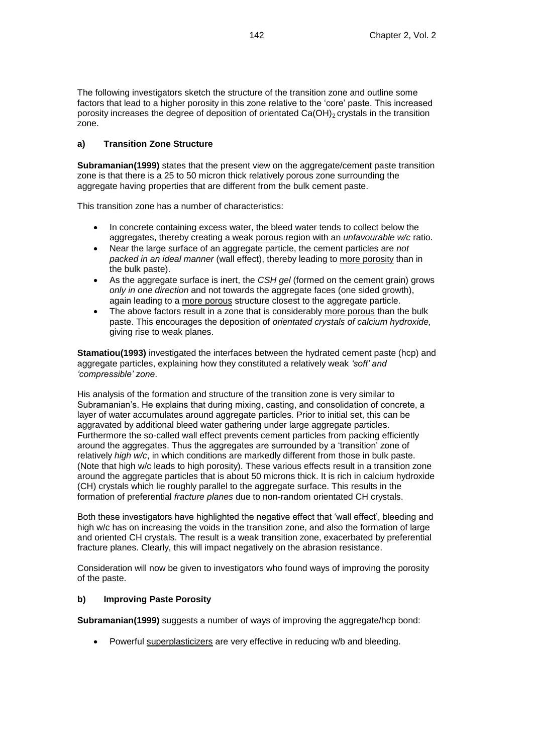The following investigators sketch the structure of the transition zone and outline some factors that lead to a higher porosity in this zone relative to the 'core' paste. This increased porosity increases the degree of deposition of orientated  $Ca(OH)_2$  crystals in the transition zone.

#### **a) Transition Zone Structure**

**Subramanian(1999)** states that the present view on the aggregate/cement paste transition zone is that there is a 25 to 50 micron thick relatively porous zone surrounding the aggregate having properties that are different from the bulk cement paste.

This transition zone has a number of characteristics:

- In concrete containing excess water, the bleed water tends to collect below the aggregates, thereby creating a weak porous region with an *unfavourable w/c* ratio.
- Near the large surface of an aggregate particle, the cement particles are *not packed in an ideal manner* (wall effect), thereby leading to more porosity than in the bulk paste).
- As the aggregate surface is inert, the *CSH gel* (formed on the cement grain) grows *only in one direction* and not towards the aggregate faces (one sided growth), again leading to a more porous structure closest to the aggregate particle.
- The above factors result in a zone that is considerably more porous than the bulk paste. This encourages the deposition of *orientated crystals of calcium hydroxide,* giving rise to weak planes.

**Stamatiou(1993)** investigated the interfaces between the hydrated cement paste (hcp) and aggregate particles, explaining how they constituted a relatively weak *'soft' and 'compressible' zone*.

His analysis of the formation and structure of the transition zone is very similar to Subramanian's. He explains that during mixing, casting, and consolidation of concrete, a layer of water accumulates around aggregate particles. Prior to initial set, this can be aggravated by additional bleed water gathering under large aggregate particles. Furthermore the so-called wall effect prevents cement particles from packing efficiently around the aggregates. Thus the aggregates are surrounded by a 'transition' zone of relatively *high w/c*, in which conditions are markedly different from those in bulk paste. (Note that high w/c leads to high porosity). These various effects result in a transition zone around the aggregate particles that is about 50 microns thick. It is rich in calcium hydroxide (CH) crystals which lie roughly parallel to the aggregate surface. This results in the formation of preferential *fracture planes* due to non-random orientated CH crystals.

Both these investigators have highlighted the negative effect that 'wall effect', bleeding and high w/c has on increasing the voids in the transition zone, and also the formation of large and oriented CH crystals. The result is a weak transition zone, exacerbated by preferential fracture planes. Clearly, this will impact negatively on the abrasion resistance.

Consideration will now be given to investigators who found ways of improving the porosity of the paste.

#### **b) Improving Paste Porosity**

**Subramanian(1999)** suggests a number of ways of improving the aggregate/hcp bond:

Powerful superplasticizers are very effective in reducing w/b and bleeding.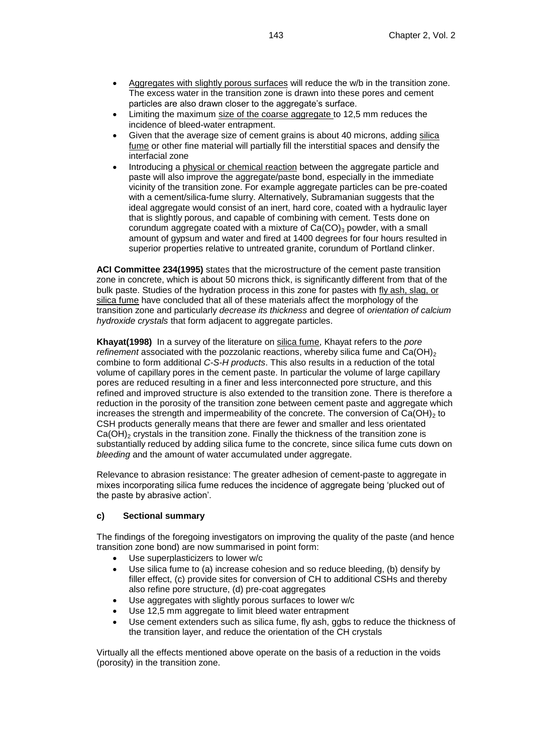- Aggregates with slightly porous surfaces will reduce the w/b in the transition zone. The excess water in the transition zone is drawn into these pores and cement particles are also drawn closer to the aggregate's surface.
- Limiting the maximum size of the coarse aggregate to 12,5 mm reduces the incidence of bleed-water entrapment.
- Given that the average size of cement grains is about 40 microns, adding silica fume or other fine material will partially fill the interstitial spaces and densify the interfacial zone
- Introducing a physical or chemical reaction between the aggregate particle and paste will also improve the aggregate/paste bond, especially in the immediate vicinity of the transition zone. For example aggregate particles can be pre-coated with a cement/silica-fume slurry. Alternatively, Subramanian suggests that the ideal aggregate would consist of an inert, hard core, coated with a hydraulic layer that is slightly porous, and capable of combining with cement. Tests done on corundum aggregate coated with a mixture of  $Ca(CO)<sub>3</sub>$  powder, with a small amount of gypsum and water and fired at 1400 degrees for four hours resulted in superior properties relative to untreated granite, corundum of Portland clinker.

**ACI Committee 234(1995)** states that the microstructure of the cement paste transition zone in concrete, which is about 50 microns thick, is significantly different from that of the bulk paste. Studies of the hydration process in this zone for pastes with fly ash, slag, or silica fume have concluded that all of these materials affect the morphology of the transition zone and particularly *decrease its thickness* and degree of *orientation of calcium hydroxide crystals* that form adjacent to aggregate particles.

**Khayat(1998)** In a survey of the literature on silica fume, Khayat refers to the *pore refinement* associated with the pozzolanic reactions, whereby silica fume and  $Ca(OH)_2$ combine to form additional *C-S-H products*. This also results in a reduction of the total volume of capillary pores in the cement paste. In particular the volume of large capillary pores are reduced resulting in a finer and less interconnected pore structure, and this refined and improved structure is also extended to the transition zone. There is therefore a reduction in the porosity of the transition zone between cement paste and aggregate which increases the strength and impermeability of the concrete. The conversion of  $Ca(OH)<sub>2</sub>$  to CSH products generally means that there are fewer and smaller and less orientated  $Ca(OH)_2$  crystals in the transition zone. Finally the thickness of the transition zone is substantially reduced by adding silica fume to the concrete, since silica fume cuts down on *bleeding* and the amount of water accumulated under aggregate.

Relevance to abrasion resistance: The greater adhesion of cement-paste to aggregate in mixes incorporating silica fume reduces the incidence of aggregate being 'plucked out of the paste by abrasive action'.

#### **c) Sectional summary**

The findings of the foregoing investigators on improving the quality of the paste (and hence transition zone bond) are now summarised in point form:

- Use superplasticizers to lower w/c
- Use silica fume to (a) increase cohesion and so reduce bleeding, (b) densify by filler effect, (c) provide sites for conversion of CH to additional CSHs and thereby also refine pore structure, (d) pre-coat aggregates
- Use aggregates with slightly porous surfaces to lower w/c
- Use 12,5 mm aggregate to limit bleed water entrapment
- Use cement extenders such as silica fume, fly ash, ggbs to reduce the thickness of the transition layer, and reduce the orientation of the CH crystals

Virtually all the effects mentioned above operate on the basis of a reduction in the voids (porosity) in the transition zone.